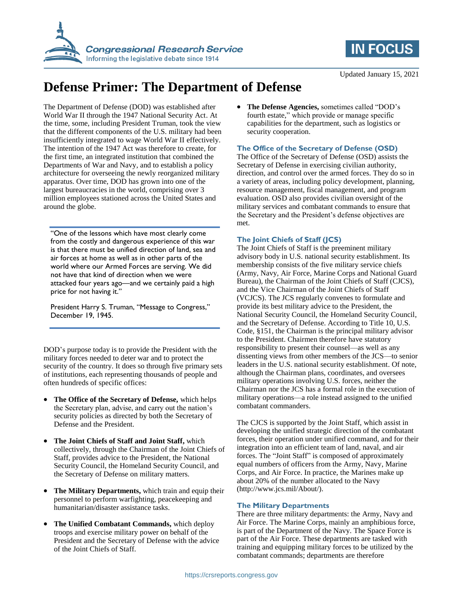



# **Defense Primer: The Department of Defense**

The Department of Defense (DOD) was established after World War II through the 1947 National Security Act. At the time, some, including President Truman, took the view that the different components of the U.S. military had been insufficiently integrated to wage World War II effectively. The intention of the 1947 Act was therefore to create, for the first time, an integrated institution that combined the Departments of War and Navy, and to establish a policy architecture for overseeing the newly reorganized military apparatus. Over time, DOD has grown into one of the largest bureaucracies in the world, comprising over 3 million employees stationed across the United States and around the globe.

"One of the lessons which have most clearly come from the costly and dangerous experience of this war is that there must be unified direction of land, sea and air forces at home as well as in other parts of the world where our Armed Forces are serving. We did not have that kind of direction when we were attacked four years ago—and we certainly paid a high price for not having it."

President Harry S. Truman, "Message to Congress," December 19, 1945.

DOD's purpose today is to provide the President with the military forces needed to deter war and to protect the security of the country. It does so through five primary sets of institutions, each representing thousands of people and often hundreds of specific offices:

- **The Office of the Secretary of Defense,** which helps the Secretary plan, advise, and carry out the nation's security policies as directed by both the Secretary of Defense and the President.
- **The Joint Chiefs of Staff and Joint Staff,** which collectively, through the Chairman of the Joint Chiefs of Staff, provides advice to the President, the National Security Council, the Homeland Security Council, and the Secretary of Defense on military matters.
- **The Military Departments,** which train and equip their personnel to perform warfighting, peacekeeping and humanitarian/disaster assistance tasks.
- **The Unified Combatant Commands,** which deploy troops and exercise military power on behalf of the President and the Secretary of Defense with the advice of the Joint Chiefs of Staff.

 **The Defense Agencies,** sometimes called "DOD's fourth estate," which provide or manage specific capabilities for the department, such as logistics or security cooperation.

### **The Office of the Secretary of Defense (OSD)**

The Office of the Secretary of Defense (OSD) assists the Secretary of Defense in exercising civilian authority, direction, and control over the armed forces. They do so in a variety of areas, including policy development, planning, resource management, fiscal management, and program evaluation. OSD also provides civilian oversight of the military services and combatant commands to ensure that the Secretary and the President's defense objectives are met.

#### **The Joint Chiefs of Staff (JCS)**

The Joint Chiefs of Staff is the preeminent military advisory body in U.S. national security establishment. Its membership consists of the five military service chiefs (Army, Navy, Air Force, Marine Corps and National Guard Bureau), the Chairman of the Joint Chiefs of Staff (CJCS), and the Vice Chairman of the Joint Chiefs of Staff (VCJCS). The JCS regularly convenes to formulate and provide its best military advice to the President, the National Security Council, the Homeland Security Council, and the Secretary of Defense. According to Title 10, U.S. Code, §151, the Chairman is the principal military advisor to the President. Chairmen therefore have statutory responsibility to present their counsel—as well as any dissenting views from other members of the JCS—to senior leaders in the U.S. national security establishment. Of note, although the Chairman plans, coordinates, and oversees military operations involving U.S. forces, neither the Chairman nor the JCS has a formal role in the execution of military operations—a role instead assigned to the unified combatant commanders.

The CJCS is supported by the Joint Staff, which assist in developing the unified strategic direction of the combatant forces, their operation under unified command, and for their integration into an efficient team of land, naval, and air forces. The "Joint Staff" is composed of approximately equal numbers of officers from the Army, Navy, Marine Corps, and Air Force. In practice, the Marines make up about 20% of the number allocated to the Navy (http://www.jcs.mil/About/).

#### **The Military Departments**

There are three military departments: the Army, Navy and Air Force. The Marine Corps, mainly an amphibious force, is part of the Department of the Navy. The Space Force is part of the Air Force. These departments are tasked with training and equipping military forces to be utilized by the combatant commands; departments are therefore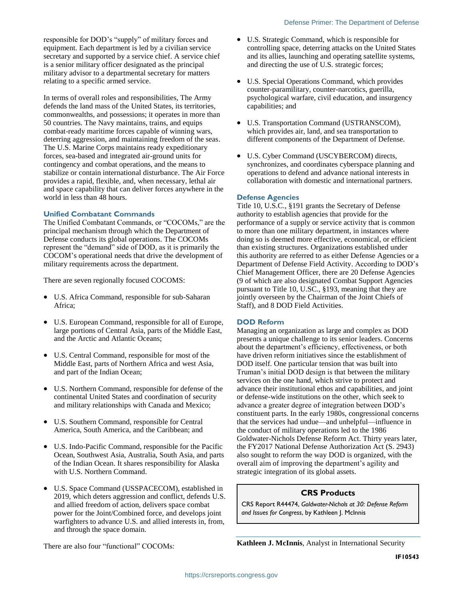responsible for DOD's "supply" of military forces and equipment. Each department is led by a civilian service secretary and supported by a service chief. A service chief is a senior military officer designated as the principal military advisor to a departmental secretary for matters relating to a specific armed service.

In terms of overall roles and responsibilities, The Army defends the land mass of the United States, its territories, commonwealths, and possessions; it operates in more than 50 countries. The Navy maintains, trains, and equips combat-ready maritime forces capable of winning wars, deterring aggression, and maintaining freedom of the seas. The U.S. Marine Corps maintains ready expeditionary forces, sea-based and integrated air-ground units for contingency and combat operations, and the means to stabilize or contain international disturbance. The Air Force provides a rapid, flexible, and, when necessary, lethal air and space capability that can deliver forces anywhere in the world in less than 48 hours.

#### **Unified Combatant Commands**

The Unified Combatant Commands, or "COCOMs," are the principal mechanism through which the Department of Defense conducts its global operations. The COCOMs represent the "demand" side of DOD, as it is primarily the COCOM's operational needs that drive the development of military requirements across the department.

There are seven regionally focused COCOMS:

- U.S. Africa Command, responsible for sub-Saharan Africa;
- U.S. European Command, responsible for all of Europe, large portions of Central Asia, parts of the Middle East, and the Arctic and Atlantic Oceans;
- U.S. Central Command, responsible for most of the Middle East, parts of Northern Africa and west Asia, and part of the Indian Ocean;
- U.S. Northern Command, responsible for defense of the continental United States and coordination of security and military relationships with Canada and Mexico;
- U.S. Southern Command, responsible for Central America, South America, and the Caribbean; and
- U.S. Indo-Pacific Command, responsible for the Pacific Ocean, Southwest Asia, Australia, South Asia, and parts of the Indian Ocean. It shares responsibility for Alaska with U.S. Northern Command.
- U.S. Space Command (USSPACECOM), established in 2019, which deters aggression and conflict, defends U.S. and allied freedom of action, delivers space combat power for the Joint/Combined force, and develops joint warfighters to advance U.S. and allied interests in, from, and through the space domain.
- U.S. Strategic Command, which is responsible for controlling space, deterring attacks on the United States and its allies, launching and operating satellite systems, and directing the use of U.S. strategic forces;
- U.S. Special Operations Command, which provides counter-paramilitary, counter-narcotics, guerilla, psychological warfare, civil education, and insurgency capabilities; and
- U.S. Transportation Command (USTRANSCOM), which provides air, land, and sea transportation to different components of the Department of Defense.
- U.S. Cyber Command (USCYBERCOM) directs, synchronizes, and coordinates cyberspace planning and operations to defend and advance national interests in collaboration with domestic and international partners.

#### **Defense Agencies**

Title 10, U.S.C., §191 grants the Secretary of Defense authority to establish agencies that provide for the performance of a supply or service activity that is common to more than one military department, in instances where doing so is deemed more effective, economical, or efficient than existing structures. Organizations established under this authority are referred to as either Defense Agencies or a Department of Defense Field Activity. According to DOD's Chief Management Officer, there are 20 Defense Agencies (9 of which are also designated Combat Support Agencies pursuant to Title 10, U.SC., §193, meaning that they are jointly overseen by the Chairman of the Joint Chiefs of Staff), and 8 DOD Field Activities.

#### **DOD Reform**

Managing an organization as large and complex as DOD presents a unique challenge to its senior leaders. Concerns about the department's efficiency, effectiveness, or both have driven reform initiatives since the establishment of DOD itself. One particular tension that was built into Truman's initial DOD design is that between the military services on the one hand, which strive to protect and advance their institutional ethos and capabilities, and joint or defense-wide institutions on the other, which seek to advance a greater degree of integration between DOD's constituent parts. In the early 1980s, congressional concerns that the services had undue—and unhelpful—influence in the conduct of military operations led to the 1986 Goldwater-Nichols Defense Reform Act. Thirty years later, the FY2017 National Defense Authorization Act (S. 2943) also sought to reform the way DOD is organized, with the overall aim of improving the department's agility and strategic integration of its global assets.

## **CRS Products**

CRS Report R44474, *Goldwater-Nichols at 30: Defense Reform and Issues for Congress*, by Kathleen J. McInnis

There are also four "functional" COCOMs:

**Kathleen J. McInnis**, Analyst in International Security